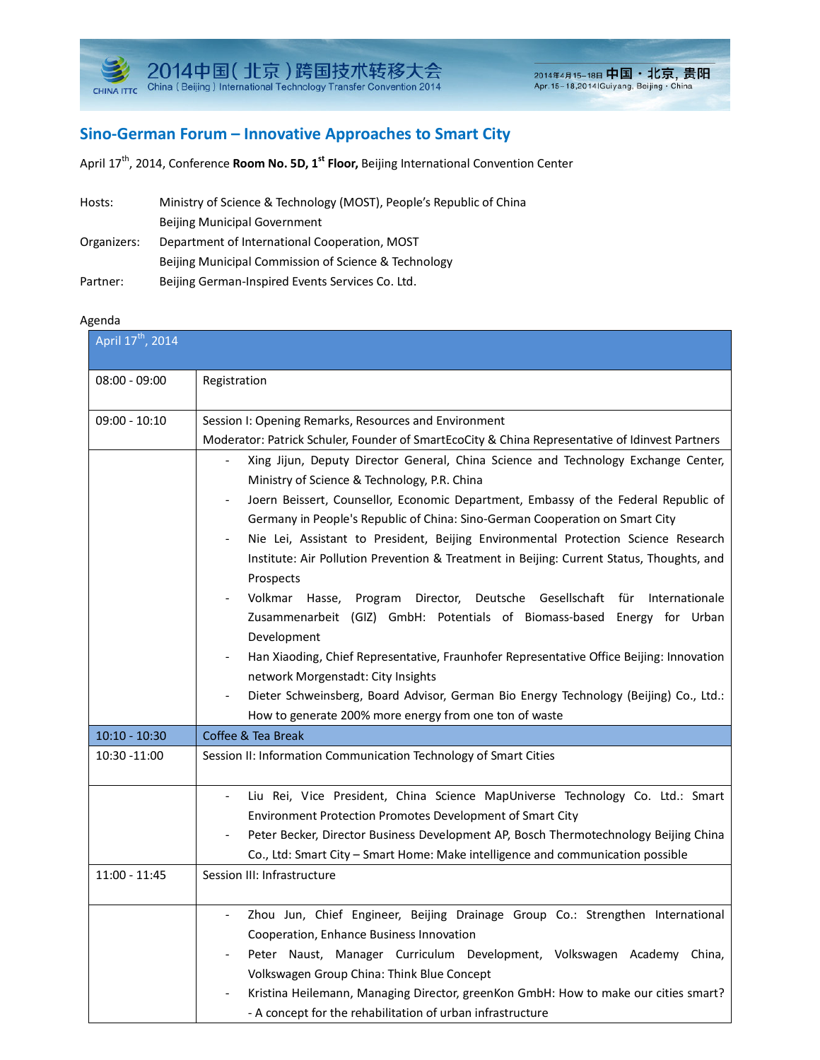

## **Sino-German Forum – Innovative Approaches to Smart City**

April 17<sup>th</sup>, 2014, Conference **Room No. 5D, 1<sup>st</sup> Floor,** Beijing International Convention Center

| Hosts:      | Ministry of Science & Technology (MOST), People's Republic of China |
|-------------|---------------------------------------------------------------------|
|             | <b>Beijing Municipal Government</b>                                 |
| Organizers: | Department of International Cooperation, MOST                       |
|             | Beijing Municipal Commission of Science & Technology                |
| Partner:    | Beijing German-Inspired Events Services Co. Ltd.                    |

## Agenda

| April 17 <sup>th</sup> , 2014 |                                                                                                                                                                                                                                                                                                                                                                                                                                                                                                                                                                                                                                                                                                                                                                                                                                                                                                                                                                                                                                                                                                                                                                  |
|-------------------------------|------------------------------------------------------------------------------------------------------------------------------------------------------------------------------------------------------------------------------------------------------------------------------------------------------------------------------------------------------------------------------------------------------------------------------------------------------------------------------------------------------------------------------------------------------------------------------------------------------------------------------------------------------------------------------------------------------------------------------------------------------------------------------------------------------------------------------------------------------------------------------------------------------------------------------------------------------------------------------------------------------------------------------------------------------------------------------------------------------------------------------------------------------------------|
| $08:00 - 09:00$               | Registration                                                                                                                                                                                                                                                                                                                                                                                                                                                                                                                                                                                                                                                                                                                                                                                                                                                                                                                                                                                                                                                                                                                                                     |
| $09:00 - 10:10$               | Session I: Opening Remarks, Resources and Environment<br>Moderator: Patrick Schuler, Founder of SmartEcoCity & China Representative of Idinvest Partners<br>Xing Jijun, Deputy Director General, China Science and Technology Exchange Center,<br>$\overline{\phantom{a}}$<br>Ministry of Science & Technology, P.R. China<br>Joern Beissert, Counsellor, Economic Department, Embassy of the Federal Republic of<br>Germany in People's Republic of China: Sino-German Cooperation on Smart City<br>Nie Lei, Assistant to President, Beijing Environmental Protection Science Research<br>Institute: Air Pollution Prevention & Treatment in Beijing: Current Status, Thoughts, and<br>Prospects<br>Volkmar Hasse, Program<br>Director, Deutsche Gesellschaft für Internationale<br>Zusammenarbeit (GIZ) GmbH: Potentials of Biomass-based Energy for Urban<br>Development<br>Han Xiaoding, Chief Representative, Fraunhofer Representative Office Beijing: Innovation<br>network Morgenstadt: City Insights<br>Dieter Schweinsberg, Board Advisor, German Bio Energy Technology (Beijing) Co., Ltd.:<br>How to generate 200% more energy from one ton of waste |
| $10:10 - 10:30$               | Coffee & Tea Break                                                                                                                                                                                                                                                                                                                                                                                                                                                                                                                                                                                                                                                                                                                                                                                                                                                                                                                                                                                                                                                                                                                                               |
| 10:30 -11:00                  | Session II: Information Communication Technology of Smart Cities                                                                                                                                                                                                                                                                                                                                                                                                                                                                                                                                                                                                                                                                                                                                                                                                                                                                                                                                                                                                                                                                                                 |
|                               | Liu Rei, Vice President, China Science MapUniverse Technology Co. Ltd.: Smart<br>Environment Protection Promotes Development of Smart City<br>Peter Becker, Director Business Development AP, Bosch Thermotechnology Beijing China<br>Co., Ltd: Smart City - Smart Home: Make intelligence and communication possible                                                                                                                                                                                                                                                                                                                                                                                                                                                                                                                                                                                                                                                                                                                                                                                                                                            |
| 11:00 - 11:45                 | Session III: Infrastructure                                                                                                                                                                                                                                                                                                                                                                                                                                                                                                                                                                                                                                                                                                                                                                                                                                                                                                                                                                                                                                                                                                                                      |
|                               | Zhou Jun, Chief Engineer, Beijing Drainage Group Co.: Strengthen International<br>Cooperation, Enhance Business Innovation<br>Peter Naust, Manager Curriculum Development, Volkswagen Academy China,<br>Volkswagen Group China: Think Blue Concept<br>Kristina Heilemann, Managing Director, greenKon GmbH: How to make our cities smart?<br>- A concept for the rehabilitation of urban infrastructure                                                                                                                                                                                                                                                                                                                                                                                                                                                                                                                                                                                                                                                                                                                                                          |